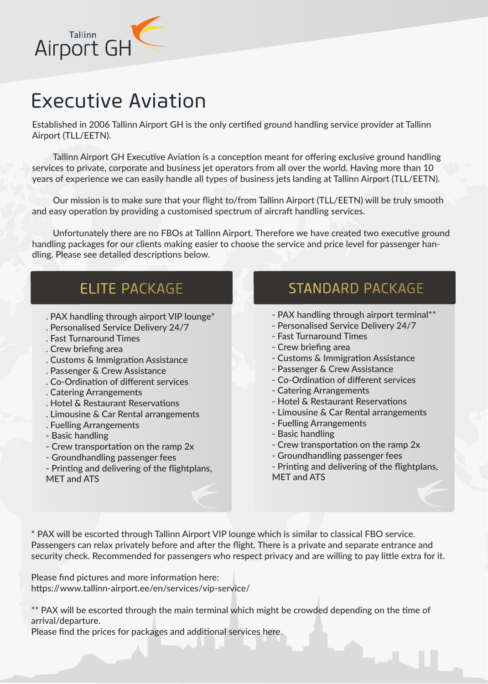

## Executive Aviation

Established in 2006 Tallinn Airport GH is the only certified ground handling service provider at Tallinn Airport (TLL/EETN).

Tallinn Airport GH Executive Aviation is a conception meant for offering exclusive ground handling services to private, corporate and business jet operators from all over the world. Having more than 10 years of experience we can easily handle all types of business jets landing at Tallinn Airport (TLL/EETN).

Our mission is to make sure that your flight to/from Tallinn Airport (TLL/EETN) will be truly smooth and easy operation by providing a customised spectrum of aircraft handling services.

Unfortunately there are no FBOs at Tallinn Airport. Therefore we have created two executive ground handling packages for our clients making easier to choose the service and price level for passenger handling. Please see detailed descriptions below.

## **ELITE PACKAGE**

- . PAX handling through airport VIP lounge\*
- . Personalised Service Delivery 24/7
- . Fast Turnaround Times
- . Crew briefing area
- . Customs & Immigration Assistance
- . Passenger & Crew Assistance
- . Co-Ordination of different services
- . Catering Arrangements
- . Hotel & Restaurant Reservations
- . Limousine & Car Rental arrangements
- . Fuelling Arrangements
- Basic handling
- Crew transportation on the ramp 2x
- Groundhandling passenger fees
- Printing and delivering of the flightplans, MET and ATS

## **STANDARD PACKAGE**

- PAX handling through airport terminal\*\*
- Personalised Service Delivery 24/7
- Fast Turnaround Times
- Crew briefing area
- Customs & Immigration Assistance
- Passenger & Crew Assistance
- Co-Ordination of different services
- Catering Arrangements
- Hotel & Restaurant Reservations
- Limousine & Car Rental arrangements
- Fuelling Arrangements
- Basic handling
- Crew transportation on the ramp 2x
- Groundhandling passenger fees
- Printing and delivering of the flightplans, MET and ATS

\* PAX will be escorted through Tallinn Airport VIP lounge which is similar to classical FBO service. Passengers can relax privately before and after the flight. There is a private and separate entrance and security check. Recommended for passengers who respect privacy and are willing to pay little extra for it.

Please find pictures and more information here: https://www.tallinn-airport.ee/en/services/vip-service/

\*\* PAX will be escorted through the main terminal which might be crowded depending on the time of arrival/departure.

Please find the prices for packages and additional services here.